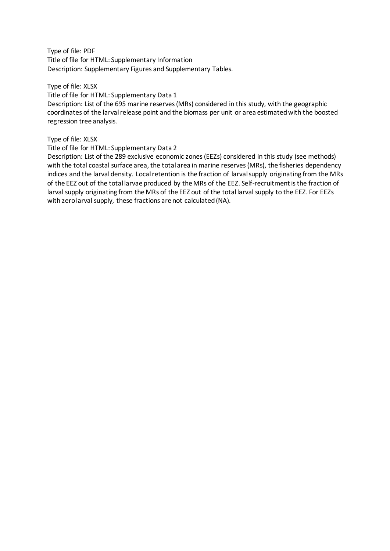Type of file: PDF Title of file for HTML: Supplementary Information Description: Supplementary Figures and Supplementary Tables.

Type of file: XLSX Title of file for HTML: Supplementary Data 1 Description: List of the 695 marine reserves (MRs) considered in this study, with the geographic coordinates of the larval release point and the biomass per unit or area estimated with the boosted regression tree analysis.

#### Type of file: XLSX

Title of file for HTML: Supplementary Data 2

Description: List of the 289 exclusive economic zones (EEZs) considered in this study (see methods) with the total coastal surface area, the total area in marine reserves (MRs), the fisheries dependency indices and the larval density. Local retention is the fraction of larval supply originating from the MRs of the EEZ out of the total larvae produced by the MRs of the EEZ. Self-recruitment is the fraction of larval supply originating from the MRs of the EEZ out of the total larval supply to the EEZ. For EEZs with zero larval supply, these fractions are not calculated (NA).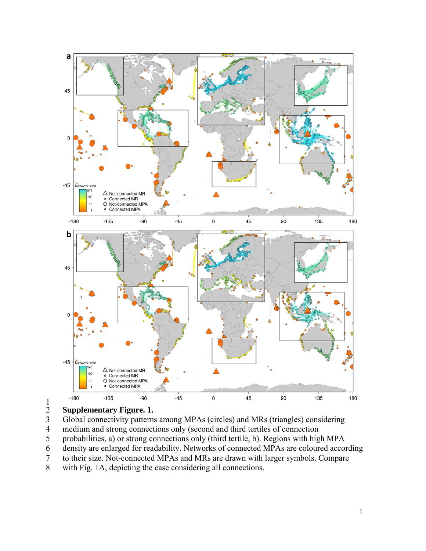

 $\frac{1}{2}$ 

# 2 **Supplementary Figure. 1.**

- 3 Global connectivity patterns among MPAs (circles) and MRs (triangles) considering
- 4 medium and strong connections only (second and third tertiles of connection<br>5 probabilities, a) or strong connections only (third tertile, b). Regions with hig
- 5 probabilities, a) or strong connections only (third tertile, b). Regions with high MPA<br>6 density are enlarged for readability. Networks of connected MPAs are coloured accord
- density are enlarged for readability. Networks of connected MPAs are coloured according
- 7 to their size. Not-connected MPAs and MRs are drawn with larger symbols. Compare
- 8 with Fig. 1A, depicting the case considering all connections.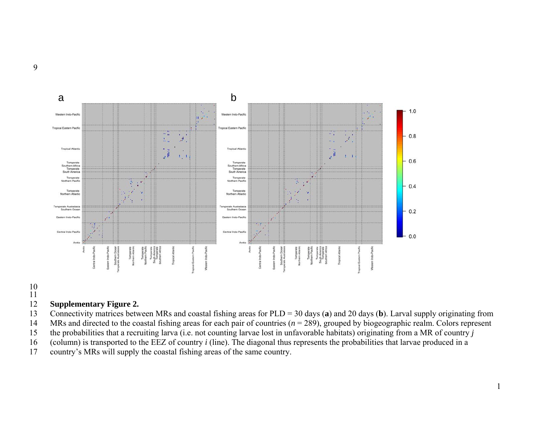

#### 10 11

#### 12 **Supplementary Figure 2.**

- 13 Connectivity matrices between MRs and coastal fishing areas for PLD = 30 days (**a**) and 20 days (**b**). Larval supply originating from
- 14 MRs and directed to the coastal fishing areas for each pair of countries (*<sup>n</sup>* = 289), grouped by biogeographic realm. Colors represent
- 15 the probabilities that a recruiting larva (i.e. not counting larvae lost in unfavorable habitats) originating from a MR of country *j*
- 16 (column) is transported to the EEZ of country *i* (line). The diagonal thus represents the probabilities that larvae produced in a
- 17 country's MRs will supply the coastal fishing areas of the same country.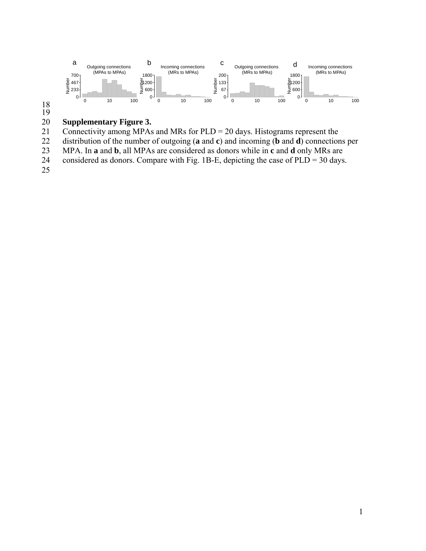

18 19

## 20 **Supplementary Figure 3.**

21 Connectivity among MPAs and MRs for  $PLD = 20$  days. Histograms represent the distribution of the number of outgoing (**a** and **c**) and incoming (**b** and **d**) connection

22 distribution of the number of outgoing (**a** and **c**) and incoming (**b** and **d**) connections per MPA. In **a** and **b**, all MPAs are considered as donors while in **c** and **d** only MRs are

23 MPA. In **a** and **b**, all MPAs are considered as donors while in **c** and **d** only MRs are considered as donors. Compare with Fig. 1B-E, depicting the case of PLD = 30 days.

considered as donors. Compare with Fig. 1B-E, depicting the case of  $PLD = 30$  days.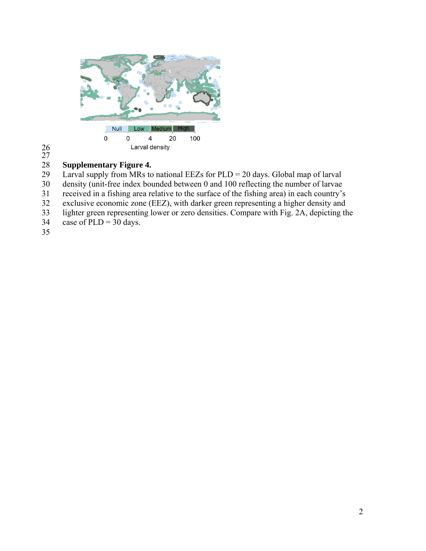

26 27

## 28 **Supplementary Figure 4.**

Larval supply from MRs to national EEZs for  $PLD = 20$  days. Global map of larval

30 density (unit-free index bounded between 0 and 100 reflecting the number of larvae

31 received in a fishing area relative to the surface of the fishing area) in each country's

32 exclusive economic zone (EEZ), with darker green representing a higher density and lighter green representing lower or zero densities. Compare with Fig. 2A, depicting the

- lighter green representing lower or zero densities. Compare with Fig. 2A, depicting the
- 34 case of PLD =  $30$  days.
- 35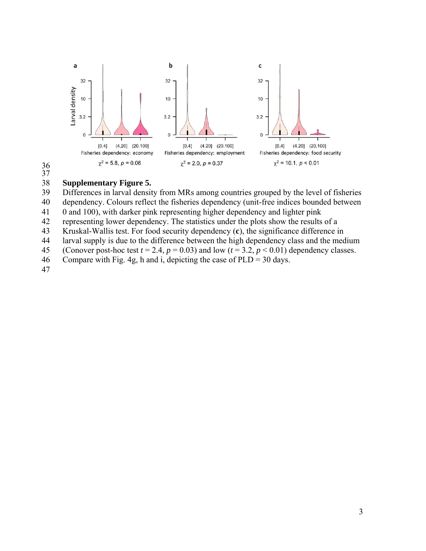



## 38 **Supplementary Figure 5.**

Differences in larval density from MRs among countries grouped by the level of fisheries

40 dependency. Colours reflect the fisheries dependency (unit-free indices bounded between

41 0 and 100), with darker pink representing higher dependency and lighter pink

42 representing lower dependency. The statistics under the plots show the results of a

43 Kruskal-Wallis test. For food security dependency (**c**), the significance difference in

- 44 larval supply is due to the difference between the high dependency class and the medium
- 45 (Conover post-hoc test  $t = 2.4$ ,  $p = 0.03$ ) and low  $(t = 3.2, p < 0.01)$  dependency classes.
- 46 Compare with Fig. 4g, h and i, depicting the case of PLD = 30 days.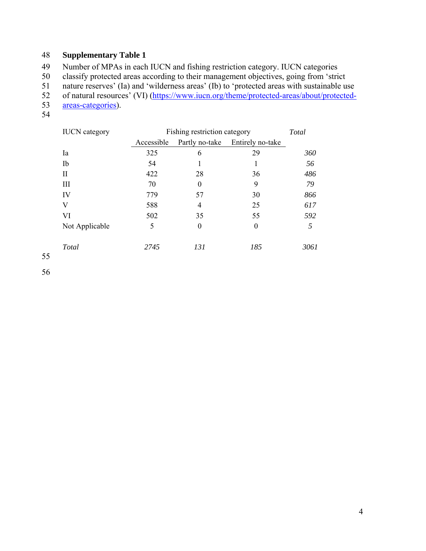49 Number of MPAs in each IUCN and fishing restriction category. IUCN categories

50 classify protected areas according to their management objectives, going from 'strict<br>51 nature reserves' (Ia) and 'wilderness areas' (Ib) to 'protected areas with sustainable us

51 nature reserves' (Ia) and 'wilderness areas' (Ib) to 'protected areas with sustainable use<br>52 of natural resources' (VI) (https://www.jucn.org/theme/protected-areas/about/protected-

- 52 of natural resources' (VI) (https://www.iucn.org/theme/protected-areas/about/protected-<br>53 areas-categories).
- areas-categories).
- 54

| <b>IUCN</b> category | Fishing restriction category |                  |                  | <b>Total</b> |
|----------------------|------------------------------|------------------|------------------|--------------|
|                      | Accessible                   | Partly no-take   | Entirely no-take |              |
| Ia                   | 325                          | 6                | 29               | 360          |
| Ib                   | 54                           |                  |                  | 56           |
| П                    | 422                          | 28               | 36               | 486          |
| III                  | 70                           | $\boldsymbol{0}$ | 9                | 79           |
| IV                   | 779                          | 57               | 30               | 866          |
| V                    | 588                          | 4                | 25               | 617          |
| VI                   | 502                          | 35               | 55               | 592          |
| Not Applicable       | 5                            | $\boldsymbol{0}$ | $\boldsymbol{0}$ | 5            |
| Total                | 2745                         | 131              | 185              | 3061         |

55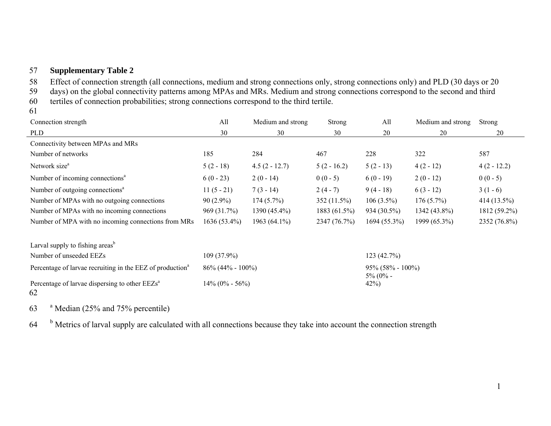58 Effect of connection strength (all connections, medium and strong connections only, strong connections only) and PLD (30 days or 20

59 days) on the global connectivity patterns among MPAs and MRs. Medium and strong connections correspond to the second and third

60 tertiles of connection probabilities; strong connections correspond to the third tertile.

61

| Connection strength                                                   | All                   | Medium and strong | Strong        | All                                | Medium and strong | <b>Strong</b> |
|-----------------------------------------------------------------------|-----------------------|-------------------|---------------|------------------------------------|-------------------|---------------|
| <b>PLD</b>                                                            | 30                    | 30                | 30            | 20                                 | 20                | 20            |
| Connectivity between MPAs and MRs                                     |                       |                   |               |                                    |                   |               |
| Number of networks                                                    | 185                   | 284               | 467           | 228                                | 322               | 587           |
| Network size <sup>a</sup>                                             | $5(2-18)$             | $4.5(2 - 12.7)$   | $5(2 - 16.2)$ | $5(2-13)$                          | $4(2-12)$         | $4(2 - 12.2)$ |
| Number of incoming connections <sup>a</sup>                           | $6(0 - 23)$           | $2(0-14)$         | $0(0-5)$      | $6(0-19)$                          | $2(0-12)$         | $0(0-5)$      |
| Number of outgoing connections <sup>a</sup>                           | $11(5-21)$            | $7(3-14)$         | $2(4-7)$      | $9(4-18)$                          | $6(3-12)$         | $3(1-6)$      |
| Number of MPAs with no outgoing connections                           | $90(2.9\%)$           | $174(5.7\%)$      | $352(11.5\%)$ | $106(3.5\%)$                       | $176(5.7\%)$      | $414(13.5\%)$ |
| Number of MPAs with no incoming connections                           | 969 (31.7%)           | 1390 (45.4%)      | 1883 (61.5%)  | 934 (30.5%)                        | 1342 (43.8%)      | 1812 (59.2%)  |
| Number of MPA with no incoming connections from MRs                   | $1636(53.4\%)$        | 1963 $(64.1\%)$   | 2347 (76.7%)  | $1694(55.3\%)$                     | 1999 (65.3%)      | 2352 (76.8%)  |
| Larval supply to fishing areas <sup>b</sup>                           |                       |                   |               |                                    |                   |               |
| Number of unseeded EEZs                                               | $109(37.9\%)$         |                   |               | 123(42.7%)                         |                   |               |
| Percentage of larvae recruiting in the EEZ of production <sup>a</sup> | $86\% (44\% - 100\%)$ |                   |               | $95\%$ (58% - 100%)<br>$5\%$ (0% - |                   |               |

42%)

Percentage of larvae dispersing to other  $EEZs<sup>a</sup>$  14% (0% - 56%) 62

 $63$  <sup>a</sup> Median (25% and 75% percentile)

 $64$   $<sup>b</sup>$  Metrics of larval supply are calculated with all connections because they take into account the connection strength</sup>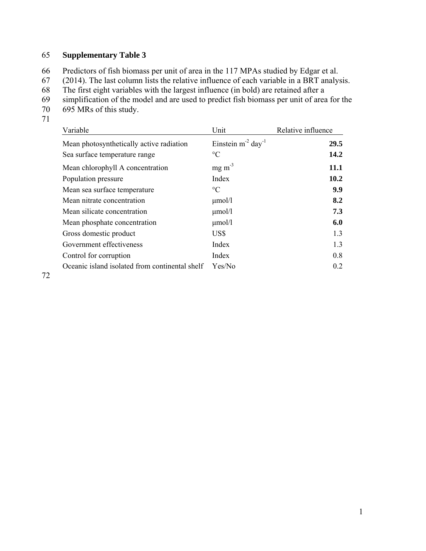66 Predictors of fish biomass per unit of area in the 117 MPAs studied by Edgar et al.

67 (2014). The last column lists the relative influence of each variable in a BRT analysis.<br>68 The first eight variables with the largest influence (in bold) are retained after a

- 68 The first eight variables with the largest influence (in bold) are retained after a simplification of the model and are used to predict fish biomass per unit of area
- simplification of the model and are used to predict fish biomass per unit of area for the
- 70 695 MRs of this study.
- 71

| Variable                                       | Unit                                | Relative influence |
|------------------------------------------------|-------------------------------------|--------------------|
| Mean photosynthetically active radiation       | Einstein $m^{-2}$ day <sup>-1</sup> | 29.5               |
| Sea surface temperature range                  | $\rm ^{\circ}C$                     | 14.2               |
| Mean chlorophyll A concentration               | $mg \, m^{-3}$                      | 11.1               |
| Population pressure                            | Index                               | 10.2               |
| Mean sea surface temperature                   | $\rm ^{\circ}C$                     | 9.9                |
| Mean nitrate concentration                     | $\mu$ mol/l                         | 8.2                |
| Mean silicate concentration                    | $\mu$ mol/l                         | 7.3                |
| Mean phosphate concentration                   | $\mu$ mol/l                         | 6.0                |
| Gross domestic product                         | US\$                                | 1.3                |
| Government effectiveness                       | Index                               | 1.3                |
| Control for corruption                         | Index                               | 0.8                |
| Oceanic island isolated from continental shelf | Yes/No                              | 0.2                |